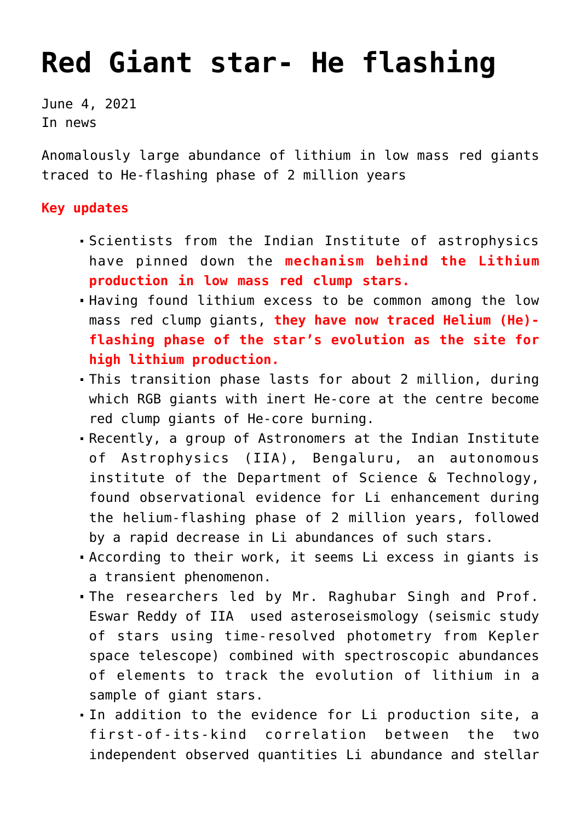## **[Red Giant star- He flashing](https://journalsofindia.com/red-giant-star-he-flashing/)**

June 4, 2021 In news

Anomalously large abundance of lithium in low mass red giants traced to He-flashing phase of 2 million years

## **Key updates**

- Scientists from the Indian Institute of astrophysics have pinned down the **mechanism behind the Lithium production in low mass red clump stars.**
- Having found lithium excess to be common among the low mass red clump giants, **they have now traced Helium (He) flashing phase of the star's evolution as the site for high lithium production.**
- This transition phase lasts for about 2 million, during which RGB giants with inert He-core at the centre become red clump giants of He-core burning.
- Recently, a group of Astronomers at the Indian Institute of Astrophysics (IIA), Bengaluru, an autonomous institute of the Department of Science & Technology, found observational evidence for Li enhancement during the helium-flashing phase of 2 million years, followed by a rapid decrease in Li abundances of such stars.
- According to their work, it seems Li excess in giants is a transient phenomenon.
- The researchers led by Mr. Raghubar Singh and Prof. Eswar Reddy of IIA used asteroseismology (seismic study of stars using time-resolved photometry from Kepler space telescope) combined with spectroscopic abundances of elements to track the evolution of lithium in a sample of giant stars.
- In addition to the evidence for Li production site, a first-of-its-kind correlation between the two independent observed quantities Li abundance and stellar